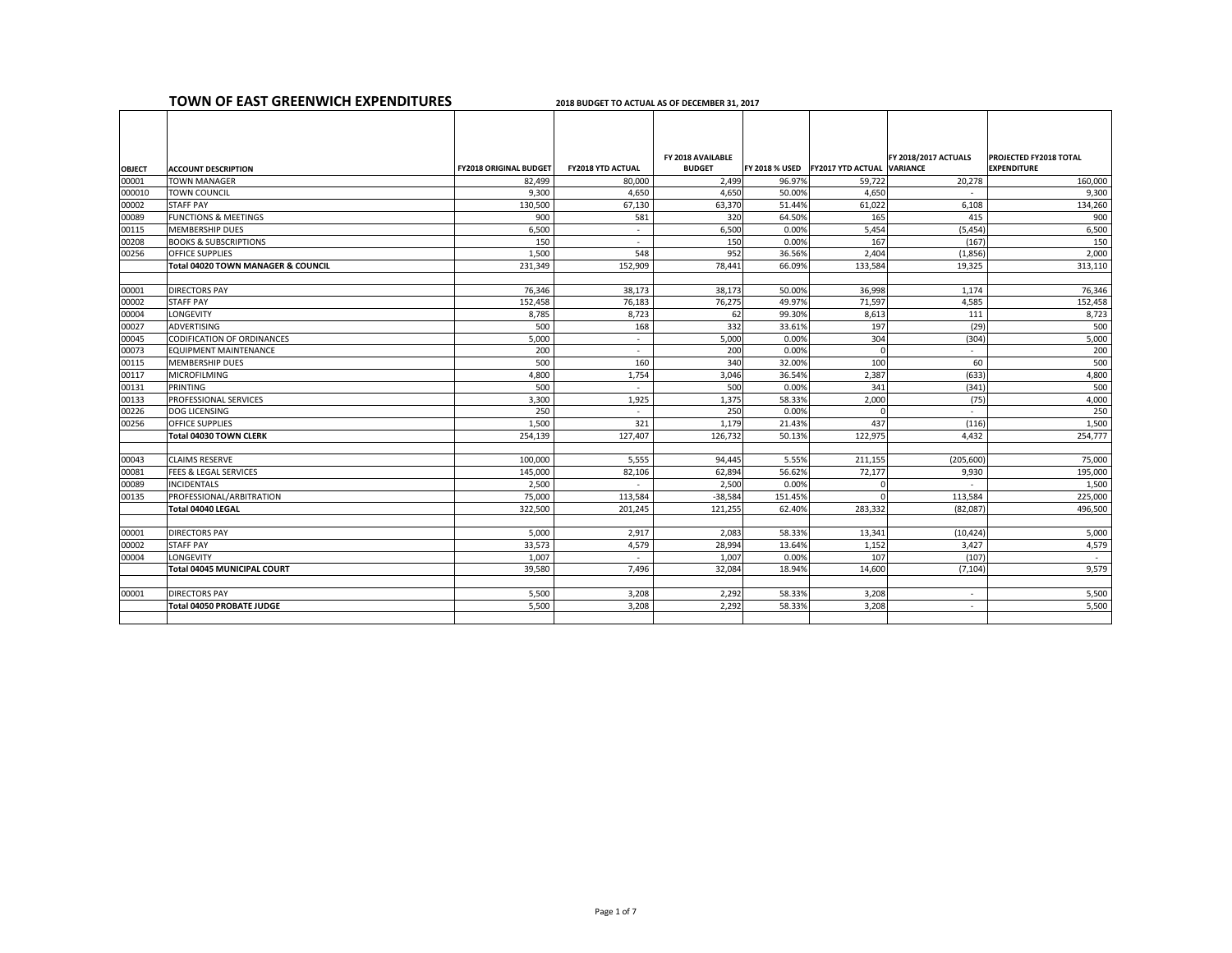|                | <b>TOWN OF EAST GREENWICH EXPENDITURES</b>                |                               | 2018 BUDGET TO ACTUAL AS OF DECEMBER 31, 2017 |                                    |                 |                                                  |                             |                                                     |
|----------------|-----------------------------------------------------------|-------------------------------|-----------------------------------------------|------------------------------------|-----------------|--------------------------------------------------|-----------------------------|-----------------------------------------------------|
|                |                                                           |                               |                                               |                                    |                 |                                                  |                             |                                                     |
| <b>OBJECT</b>  | <b>ACCOUNT DESCRIPTION</b>                                | <b>FY2018 ORIGINAL BUDGET</b> | <b>FY2018 YTD ACTUAL</b>                      | FY 2018 AVAILABLE<br><b>BUDGET</b> |                 | <b>FY 2018 % USED FY2017 YTD ACTUAL VARIANCE</b> | <b>FY 2018/2017 ACTUALS</b> | <b>PROJECTED FY2018 TOTAL</b><br><b>EXPENDITURE</b> |
| 00001          | <b>TOWN MANAGER</b>                                       | 82,499                        | 80,000                                        | 2,499                              | 96.97%          | 59,722                                           | 20,278                      | 160,000                                             |
| 000010         | <b>TOWN COUNCIL</b>                                       | 9,300                         | 4,650                                         | 4,650                              | 50.00%          | 4,650                                            |                             | 9,300                                               |
| 00002          | <b>STAFF PAY</b>                                          | 130,500                       | 67,130                                        | 63,370                             | 51.44%          | 61,022                                           | 6,108                       | 134,260                                             |
| 00089          | <b>FUNCTIONS &amp; MEETINGS</b>                           | 900                           | 581                                           | 320                                | 64.50%          | 165                                              | 415                         | 900                                                 |
| 00115          | <b>MEMBERSHIP DUES</b>                                    | 6,500                         | $\sim$                                        | 6,500                              | 0.00%           | 5,454                                            | (5, 454)                    | 6,500                                               |
| 00208          | <b>BOOKS &amp; SUBSCRIPTIONS</b>                          | 150                           | $\overline{\phantom{a}}$                      | 150                                | 0.00%           | 167                                              | (167)                       | 150                                                 |
| 00256          | <b>OFFICE SUPPLIES</b>                                    | 1,500                         | 548                                           | 952                                | 36.56%          | 2,404                                            | (1,856)                     | 2,000                                               |
|                | <b>Total 04020 TOWN MANAGER &amp; COUNCIL</b>             | 231,349                       | 152,909                                       | 78,441                             | 66.09%          | 133,584                                          | 19,325                      | 313,110                                             |
|                |                                                           |                               |                                               |                                    |                 |                                                  |                             |                                                     |
| 00001          | <b>DIRECTORS PAY</b>                                      | 76,346                        | 38,173                                        | 38,173                             | 50.00%          | 36,998                                           | 1,174                       | 76,346                                              |
| 00002          | <b>STAFF PAY</b>                                          | 152,458                       | 76,183                                        | 76,275                             | 49.97%          | 71,597                                           | 4,585                       | 152,458                                             |
| 00004          | LONGEVITY                                                 | 8,785                         | 8,723                                         | 62                                 | 99.30%          | 8,613                                            | 111                         | 8,723                                               |
| 00027          | ADVERTISING                                               | 500                           | 168                                           | 332                                | 33.61%          | 197                                              | (29)                        | 500                                                 |
| 00045          | <b>CODIFICATION OF ORDINANCES</b>                         | 5,000                         | $\overline{\phantom{a}}$                      | 5,000                              | 0.00%           | 304                                              | (304)                       | 5,000                                               |
| 00073          | <b>EQUIPMENT MAINTENANCE</b>                              | 200                           | $\overline{\phantom{0}}$                      | 200                                | 0.00%           |                                                  | $\overline{\phantom{a}}$    | 200                                                 |
| 00115          | <b>MEMBERSHIP DUES</b>                                    | 500                           | 160                                           | 340                                | 32.00%          | 100                                              | 60                          | 500                                                 |
| 00117          | <b>MICROFILMING</b>                                       | 4,800                         | 1,754                                         | 3,046                              | 36.54%          | 2,387                                            | (633)                       | 4,800                                               |
| 00131          | PRINTING                                                  | 500                           |                                               | 500                                | 0.00%           | 341                                              | (341)                       | 500                                                 |
| 00133          | <b>PROFESSIONAL SERVICES</b>                              | 3,300                         | 1,925                                         | 1,375                              | 58.33%          | 2,000                                            | (75)                        | 4,000                                               |
| 00226          | DOG LICENSING                                             | 250                           | $\sim$                                        | 250                                | 0.00%           |                                                  | $\sim$                      | 250                                                 |
| 00256          | <b>OFFICE SUPPLIES</b>                                    | 1,500                         | 321                                           | 1,179                              | 21.43%          | 437                                              | (116)                       | 1,500                                               |
|                | <b>Total 04030 TOWN CLERK</b>                             | 254,139                       | 127,407                                       | 126,732                            | 50.13%          | 122,975                                          | 4,432                       | 254,777                                             |
|                |                                                           |                               |                                               |                                    |                 |                                                  |                             |                                                     |
| 00043<br>00081 | <b>CLAIMS RESERVE</b><br><b>FEES &amp; LEGAL SERVICES</b> | 100,000<br>145,000            | 5,555<br>82,106                               | 94,445<br>62,894                   | 5.55%<br>56.62% | 211,155<br>72,177                                | (205, 600)<br>9,930         | 75,000<br>195,000                                   |
| 00089          | <b>INCIDENTALS</b>                                        | 2,500                         | $\overline{\phantom{0}}$                      | 2,500                              | 0.00%           | $\overline{0}$                                   | $\sim$                      | 1,500                                               |
| 00135          | PROFESSIONAL/ARBITRATION                                  | 75,000                        | 113,584                                       | $-38,584$                          | 151.45%         |                                                  | 113,584                     | 225,000                                             |
|                | Total 04040 LEGAL                                         | 322,500                       | 201,245                                       | 121,255                            | 62.40%          | 283,332                                          | (82,087)                    | 496,500                                             |
|                |                                                           |                               |                                               |                                    |                 |                                                  |                             |                                                     |
| 00001          | <b>DIRECTORS PAY</b>                                      | 5,000                         | 2,917                                         | 2,083                              | 58.33%          | 13,341                                           | (10, 424)                   | 5,000                                               |
| 00002          | <b>STAFF PAY</b>                                          | 33,573                        | 4,579                                         | 28,994                             | 13.64%          | 1,152                                            | 3,427                       | 4,579                                               |
| 00004          | <b>LONGEVITY</b>                                          | 1,007                         | $\overline{\phantom{a}}$                      | 1,007                              | 0.00%           | 107                                              | (107)                       | $\sim$ $-$                                          |
|                | Total 04045 MUNICIPAL COURT                               | 39,580                        | 7,496                                         | 32,084                             | 18.94%          | 14,600                                           | (7, 104)                    | 9,579                                               |
|                |                                                           |                               |                                               |                                    |                 |                                                  |                             |                                                     |
| 00001          | <b>DIRECTORS PAY</b>                                      | 5,500                         | 3,208                                         | 2,292                              | 58.33%          | 3,208                                            | $\sim$                      | 5,500                                               |
|                | Total 04050 PROBATE JUDGE                                 | 5,500                         | 3,208                                         | 2,292                              | 58.33%          | 3,208                                            | $\overline{\phantom{a}}$    | 5,500                                               |
|                |                                                           |                               |                                               |                                    |                 |                                                  |                             |                                                     |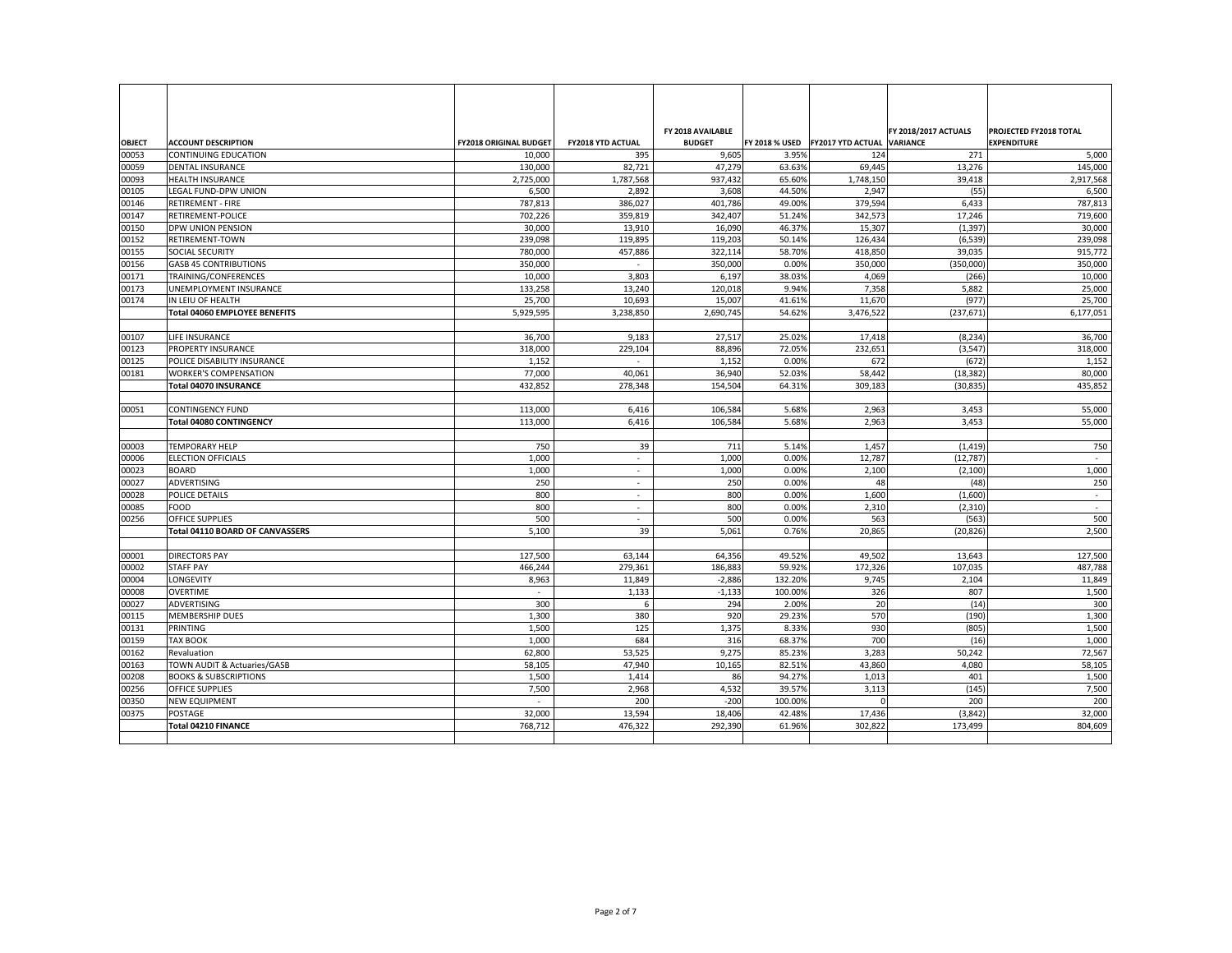|                |                                        |                               |                          | FY 2018 AVAILABLE |                |                                           | <b>FY 2018/2017 ACTUALS</b> | <b>PROJECTED FY2018 TOTAL</b> |
|----------------|----------------------------------------|-------------------------------|--------------------------|-------------------|----------------|-------------------------------------------|-----------------------------|-------------------------------|
| <b>OBJECT</b>  | <b>ACCOUNT DESCRIPTION</b>             | <b>FY2018 ORIGINAL BUDGET</b> | <b>FY2018 YTD ACTUAL</b> | <b>BUDGET</b>     |                | FY 2018 % USED FY2017 YTD ACTUAL VARIANCE |                             | <b>EXPENDITURE</b>            |
| 00053          | <b>CONTINUING EDUCATION</b>            | 10,000                        | 395                      | 9,605             | 3.95%          | 124                                       | 271                         | 5,000                         |
| 00059          | <b>DENTAL INSURANCE</b>                | 130,000                       | 82,721                   | 47,279            | 63.63%         | 69,445                                    | 13,276                      | 145,000                       |
| 00093          | <b>HEALTH INSURANCE</b>                | 2,725,000                     | 1,787,568                | 937,432           | 65.60%         | 1,748,150                                 | 39,418                      | 2,917,568                     |
| 00105          | LEGAL FUND-DPW UNION                   | 6,500                         | 2,892                    | 3,608             | 44.50%         | 2,947                                     | (55)                        | 6,500                         |
| 00146          | <b>RETIREMENT - FIRE</b>               | 787,813                       | 386,027                  | 401,786           | 49.00%         | 379,594                                   | 6,433                       | 787,813                       |
| 00147          | <b>RETIREMENT-POLICE</b>               | 702,226                       | 359,819                  | 342,407           | 51.24%         | 342,573                                   | 17,246                      | 719,600                       |
| 00150          | <b>DPW UNION PENSION</b>               | 30,000                        | 13,910                   | 16,090            | 46.37%         | 15,307                                    | (1, 397)                    | 30,000                        |
| 00152          | <b>RETIREMENT-TOWN</b>                 | 239,098                       | 119,895                  | 119,203           | 50.14%         | 126,434                                   | (6, 539)                    | 239,098                       |
| 00155          | <b>SOCIAL SECURITY</b>                 | 780,000                       | 457,886                  | 322,114           | 58.70%         | 418,850                                   | 39,035                      | 915,772                       |
| 00156          | <b>GASB 45 CONTRIBUTIONS</b>           | 350,000                       | $\overline{\phantom{a}}$ | 350,000           | 0.00%          | 350,000                                   | (350,000)                   | 350,000                       |
| 00171          | <b>TRAINING/CONFERENCES</b>            | 10,000                        | 3,803                    | 6,197             | 38.03%         | 4,069                                     | (266)                       | 10,000                        |
| 00173          | UNEMPLOYMENT INSURANCE                 | 133,258                       | 13,240                   | 120,018           | 9.94%          | 7,358                                     | 5,882                       | 25,000                        |
| 00174          | IN LEIU OF HEALTH                      | 25,700                        | 10,693                   | 15,007            | 41.61%         | 11,670                                    | (977)                       | 25,700                        |
|                | <b>Total 04060 EMPLOYEE BENEFITS</b>   | 5,929,595                     | 3,238,850                | 2,690,745         | 54.62%         | 3,476,522                                 | (237, 671)                  | 6,177,051                     |
|                |                                        |                               |                          |                   |                |                                           |                             |                               |
| 00107          | LIFE INSURANCE                         | 36,700                        | 9,183                    | 27,517            | 25.02%         | 17,418                                    | (8, 234)                    | 36,700                        |
| 00123          | <b>PROPERTY INSURANCE</b>              | 318,000                       | 229,104                  | 88,896            | 72.05%         | 232,651                                   | (3, 547)                    | 318,000                       |
| 00125          | POLICE DISABILITY INSURANCE            | 1,152                         | $\overline{\phantom{a}}$ | 1,152             | 0.00%          | 672                                       | (672)                       | 1,152                         |
| 00181          | <b>WORKER'S COMPENSATION</b>           | 77,000                        | 40,061                   | 36,940            | 52.03%         | 58,442                                    | (18, 382)                   | 80,000                        |
|                | <b>Total 04070 INSURANCE</b>           | 432,852                       | 278,348                  | 154,504           | 64.31%         | 309,183                                   | (30, 835)                   | 435,852                       |
|                |                                        |                               |                          |                   |                |                                           |                             |                               |
| 00051          | <b>CONTINGENCY FUND</b>                | 113,000                       | 6,416                    | 106,584           | 5.68%          | 2,963                                     | 3,453                       | 55,000                        |
|                | <b>Total 04080 CONTINGENCY</b>         | 113,000                       | 6,416                    | 106,584           | 5.68%          | 2,963                                     | 3,453                       | 55,000                        |
|                |                                        |                               |                          |                   |                |                                           |                             |                               |
| 00003          | <b>TEMPORARY HELP</b>                  | 750                           | 39                       | 711               | 5.14%          | 1,457                                     | (1, 419)                    | 750                           |
| 00006          | <b>ELECTION OFFICIALS</b>              | 1,000                         |                          | 1,000             | 0.00%          | 12,787                                    | (12, 787)                   | $\sim$                        |
| 00023          | <b>BOARD</b>                           | 1,000                         | $\overline{\phantom{a}}$ | 1,000             | 0.00%          | 2,100                                     | (2,100)                     | 1,000                         |
| 00027          | ADVERTISING                            | 250                           | $\overline{\phantom{a}}$ | 250               | 0.00%          | 48                                        | (48)                        | 250                           |
| 00028          | POLICE DETAILS<br>FOOD                 | 800<br>800                    | $\overline{\phantom{a}}$ | 800               | 0.00%          | 1,600                                     | (1,600)                     | $\sim$                        |
| 00085<br>00256 | <b>OFFICE SUPPLIES</b>                 | 500                           |                          | 800<br>500        | 0.00%<br>0.00% | 2,310<br>563                              | (2,310)<br>(563)            |                               |
|                | <b>Total 04110 BOARD OF CANVASSERS</b> | 5,100                         | 39                       | 5,061             | 0.76%          | 20,865                                    |                             | 500<br>2,500                  |
|                |                                        |                               |                          |                   |                |                                           | (20, 826)                   |                               |
| 00001          | <b>DIRECTORS PAY</b>                   | 127,500                       | 63,144                   | 64,356            | 49.52%         | 49,502                                    | 13,643                      | 127,500                       |
| 00002          | <b>STAFF PAY</b>                       | 466,244                       | 279,361                  | 186,883           | 59.92%         | 172,326                                   | 107,035                     | 487,788                       |
| 00004          | <b>LONGEVITY</b>                       | 8,963                         | 11,849                   | $-2,886$          | 132.20%        | 9,745                                     | 2,104                       | 11,849                        |
| 00008          | <b>OVERTIME</b>                        |                               | 1,133                    | $-1,133$          | 100.00%        | 326                                       | 807                         | 1,500                         |
| 00027          | ADVERTISING                            | 300                           | 6                        | 294               | 2.00%          | 20                                        | (14)                        | 300                           |
| 00115          | <b>MEMBERSHIP DUES</b>                 | 1,300                         | 380                      | 920               | 29.23%         | 570                                       | (190)                       | 1,300                         |
| 00131          | PRINTING                               | 1,500                         | 125                      | 1,375             | 8.33%          | 930                                       | (805)                       | 1,500                         |
| 00159          | <b>TAX BOOK</b>                        | 1,000                         | 684                      | 316               | 68.37%         | 700                                       | (16)                        | 1,000                         |
| 00162          | Revaluation                            | 62,800                        | 53,525                   | 9,275             | 85.23%         | 3,283                                     | 50,242                      | 72,567                        |
| 00163          | <b>TOWN AUDIT &amp; Actuaries/GASB</b> | 58,105                        | 47,940                   | 10,165            | 82.51%         | 43,860                                    | 4,080                       | 58,105                        |
| 00208          | <b>BOOKS &amp; SUBSCRIPTIONS</b>       | 1,500                         | 1,414                    | 86                | 94.27%         | 1,013                                     | 401                         | 1,500                         |
| 00256          | <b>OFFICE SUPPLIES</b>                 | 7,500                         | 2,968                    | 4,532             | 39.57%         | 3,113                                     | (145)                       | 7,500                         |
| 00350          | <b>NEW EQUIPMENT</b>                   |                               | 200                      | $-200$            | 100.00%        |                                           | 200                         | 200                           |
| 00375          | <b>POSTAGE</b>                         | 32,000                        | 13,594                   | 18,406            | 42.48%         | 17,436                                    | (3,842)                     | 32,000                        |
|                | <b>Total 04210 FINANCE</b>             | 768,712                       | 476,322                  | 292,390           | 61.96%         | 302,822                                   | 173,499                     | 804,609                       |
|                |                                        |                               |                          |                   |                |                                           |                             |                               |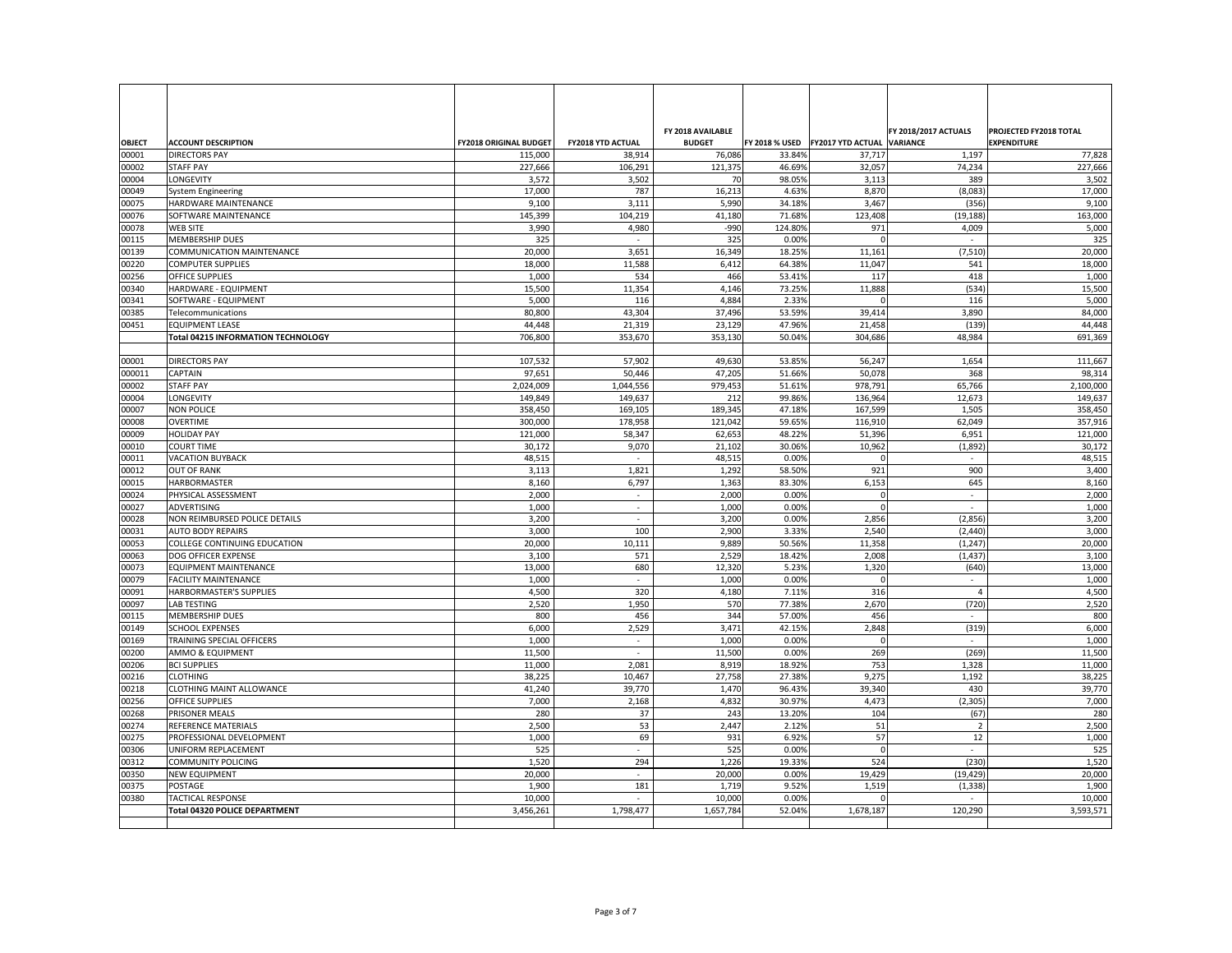| <b>OBJECT</b>  | <b>ACCOUNT DESCRIPTION</b>                         | <b>FY2018 ORIGINAL BUDGET</b> | <b>FY2018 YTD ACTUAL</b> | FY 2018 AVAILABLE<br><b>BUDGET</b> |                  | <b>FY 2018 % USED FY2017 YTD ACTUAL VARIANCE</b> | <b>FY 2018/2017 ACTUALS</b> | <b>PROJECTED FY2018 TOTAL</b><br><b>EXPENDITURE</b> |
|----------------|----------------------------------------------------|-------------------------------|--------------------------|------------------------------------|------------------|--------------------------------------------------|-----------------------------|-----------------------------------------------------|
| 00001          | <b>DIRECTORS PAY</b>                               | 115,000                       | 38,914                   | 76,086                             | 33.84%           | 37,717                                           | 1,197                       | 77,828                                              |
| 00002          | <b>STAFF PAY</b>                                   | 227,666                       | 106,291                  | 121,375                            | 46.69%           | 32,057                                           | 74,234                      | 227,666                                             |
| 00004          | LONGEVITY                                          | 3,572                         | 3,502                    | 70                                 | 98.05%           | 3,113                                            | 389                         | 3,502                                               |
| 00049          | <b>System Engineering</b>                          | 17,000                        | 787                      | 16,213                             | 4.63%            | 8,870                                            | (8,083)                     | 17,000                                              |
| 00075          | <b>HARDWARE MAINTENANCE</b>                        | 9,100                         | 3,111                    | 5,990                              | 34.18%           | 3,467                                            | (356)                       | 9,100                                               |
| 00076          | SOFTWARE MAINTENANCE                               | 145,399                       | 104,219                  | 41,180                             | 71.68%           | 123,408                                          | (19, 188)                   | 163,000                                             |
| 00078          | <b>WEB SITE</b>                                    | 3,990                         | 4,980                    | $-990$                             | 124.80%          | 971                                              | 4,009                       | 5,000                                               |
| 00115          | <b>MEMBERSHIP DUES</b>                             | 325                           |                          | 325                                | 0.00%            |                                                  | $\overline{\phantom{a}}$    | 325                                                 |
| 00139          | <b>COMMUNICATION MAINTENANCE</b>                   | 20,000                        | 3,651                    | 16,349                             | 18.25%           | 11,161                                           | (7, 510)                    | 20,000                                              |
| 00220          | <b>COMPUTER SUPPLIES</b>                           | 18,000                        | 11,588                   | 6,412                              | 64.38%           | 11,047                                           | 541                         | 18,000                                              |
| 00256          | <b>OFFICE SUPPLIES</b>                             | 1,000                         | 534                      | 466                                | 53.41%           | 117                                              | 418                         | 1,000                                               |
| 00340          | HARDWARE - EQUIPMENT                               | 15,500                        | 11,354                   | 4,146                              | 73.25%           | 11,888                                           | (534)                       | 15,500                                              |
| 00341          | SOFTWARE - EQUIPMENT                               | 5,000                         | 116                      | 4,884                              | 2.33%            |                                                  | 116                         | 5,000                                               |
| 00385          | Telecommunications                                 | 80,800                        | 43,304                   | 37,496                             | 53.59%           | 39,414                                           | 3,890                       | 84,000                                              |
| 00451          | <b>EQUIPMENT LEASE</b>                             | 44,448                        | 21,319                   | 23,129                             | 47.96%           | 21,458                                           | (139)                       | 44,448                                              |
|                | <b>Total 04215 INFORMATION TECHNOLOGY</b>          | 706,800                       | 353,670                  | 353,130                            | 50.04%           | 304,686                                          | 48,984                      | 691,369                                             |
| 00001          | <b>DIRECTORS PAY</b>                               | 107,532                       | 57,902                   | 49,630                             | 53.85%           | 56,247                                           | 1,654                       | 111,667                                             |
| 000011         | <b>CAPTAIN</b>                                     | 97,651                        | 50,446                   | 47,205                             | 51.66%           | 50,078                                           | 368                         | 98,314                                              |
| 00002          | <b>STAFF PAY</b>                                   | 2,024,009                     | 1,044,556                | 979,453                            | 51.61%           | 978,791                                          | 65,766                      | 2,100,000                                           |
| 00004          | <b>LONGEVITY</b>                                   | 149,849                       | 149,637                  | 212                                | 99.86%           | 136,964                                          | 12,673                      | 149,637                                             |
| 00007          | <b>NON POLICE</b>                                  | 358,450                       | 169,105                  | 189,345                            | 47.18%           | 167,599                                          | 1,505                       | 358,450                                             |
| 00008          | <b>OVERTIME</b>                                    | 300,000                       | 178,958                  | 121,042                            | 59.65%           | 116,910                                          | 62,049                      | 357,916                                             |
| 00009          | <b>HOLIDAY PAY</b>                                 | 121,000                       | 58,347                   | 62,653                             | 48.22%           | 51,396                                           | 6,951                       | 121,000                                             |
| 00010          | <b>COURT TIME</b>                                  | 30,172                        | 9,070                    | 21,102                             | 30.06%           | 10,962                                           | (1,892)                     | 30,172                                              |
| 00011          | <b>VACATION BUYBACK</b>                            | 48,515                        |                          | 48,515                             | 0.00%            |                                                  |                             | 48,515                                              |
| 00012          | <b>OUT OF RANK</b>                                 | 3,113                         | 1,821                    | 1,292                              | 58.50%           | 921                                              | 900                         | 3,400                                               |
| 00015          | <b>HARBORMASTER</b>                                | 8,160                         | 6,797                    | 1,363                              | 83.30%           | 6,153                                            | 645                         | 8,160                                               |
| 00024          | PHYSICAL ASSESSMENT                                | 2,000                         | $\overline{\phantom{a}}$ | 2,000                              | 0.00%            |                                                  | $\overline{\phantom{0}}$    | 2,000                                               |
| 00027          | ADVERTISING                                        | 1,000                         |                          | 1,000                              | 0.00%            |                                                  | $\overline{\phantom{0}}$    | 1,000                                               |
| 00028          | NON REIMBURSED POLICE DETAILS                      | 3,200                         |                          | 3,200                              | 0.00%            | 2,856                                            | (2,856)                     | 3,200                                               |
| 00031          | <b>AUTO BODY REPAIRS</b>                           | 3,000                         | 100                      | 2,900                              | 3.33%            | 2,540                                            | (2, 440)                    | 3,000                                               |
| 00053          | COLLEGE CONTINUING EDUCATION                       | 20,000                        | 10,111                   | 9,889                              | 50.56%           | 11,358                                           | (1, 247)                    | 20,000                                              |
| 00063          | DOG OFFICER EXPENSE                                | 3,100                         | 571                      | 2,529                              | 18.42%           | 2,008                                            | (1, 437)                    | 3,100                                               |
| 00073          | <b>EQUIPMENT MAINTENANCE</b>                       | 13,000                        | 680                      | 12,320                             | 5.23%            | 1,320                                            | (640)                       | 13,000                                              |
| 00079          | <b>FACILITY MAINTENANCE</b>                        | 1,000                         |                          | 1,000                              | 0.00%            |                                                  | $\overline{\phantom{a}}$    | 1,000                                               |
| 00091          | <b>HARBORMASTER'S SUPPLIES</b>                     | 4,500                         | 320                      | 4,180                              | 7.11%            | 316                                              |                             | 4,500                                               |
| 00097          | <b>LAB TESTING</b>                                 | 2,520                         | 1,950                    | 570                                | 77.38%           | 2,670                                            | (720)                       | 2,520                                               |
| 00115          | MEMBERSHIP DUES                                    | 800                           | 456                      | 344                                | 57.00%           | 456                                              |                             | 800                                                 |
| 00149          | <b>SCHOOL EXPENSES</b>                             | 6,000                         | 2,529                    | 3,471                              | 42.15%           | 2,848                                            | (319)                       | 6,000                                               |
| 00169          | TRAINING SPECIAL OFFICERS                          | 1,000                         |                          | 1,000                              | 0.00%            |                                                  | $\overline{a}$              | 1,000                                               |
| 00200          | <b>AMMO &amp; EQUIPMENT</b>                        | 11,500                        |                          | 11,500                             | 0.00%            | 269                                              | (269)                       | 11,500                                              |
| 00206          | <b>BCI SUPPLIES</b>                                | 11,000                        | 2,081                    | 8,919                              | 18.92%           | 753                                              | 1,328                       | 11,000                                              |
| 00216<br>00218 | <b>CLOTHING</b><br><b>CLOTHING MAINT ALLOWANCE</b> | 38,225<br>41,240              | 10,467<br>39,770         | 27,758<br>1,470                    | 27.38%<br>96.43% | 9,275<br>39,340                                  | 1,192<br>430                | 38,225<br>39,770                                    |
| 00256          | <b>OFFICE SUPPLIES</b>                             | 7,000                         | 2,168                    | 4,832                              | 30.97%           | 4,473                                            | (2, 305)                    | 7,000                                               |
| 00268          | <b>PRISONER MEALS</b>                              | 280                           | 37                       | 243                                | 13.20%           | 104                                              | (67)                        | 280                                                 |
| 00274          | <b>REFERENCE MATERIALS</b>                         | 2,500                         | 53                       | 2,447                              | 2.12%            | 51                                               |                             | 2,500                                               |
| 00275          | PROFESSIONAL DEVELOPMENT                           | 1,000                         | 69                       | 931                                | 6.92%            | 57                                               | 12                          | 1,000                                               |
| 00306          | UNIFORM REPLACEMENT                                | 525                           |                          | 525                                | 0.00%            |                                                  |                             | 525                                                 |
| 00312          | <b>COMMUNITY POLICING</b>                          | 1,520                         | 294                      | 1,226                              | 19.33%           | 524                                              | (230)                       | 1,520                                               |
| 00350          | <b>NEW EQUIPMENT</b>                               | 20,000                        |                          | 20,000                             | 0.00%            | 19,429                                           | (19, 429)                   | 20,000                                              |
| 00375          | <b>POSTAGE</b>                                     | 1,900                         | 181                      | 1,719                              | 9.52%            | 1,519                                            | (1, 338)                    | 1,900                                               |
| 00380          | <b>TACTICAL RESPONSE</b>                           | 10,000                        |                          | 10,000                             | 0.00%            |                                                  | $\overline{\phantom{a}}$    | 10,000                                              |
|                | <b>Total 04320 POLICE DEPARTMENT</b>               | 3,456,261                     | 1,798,477                | 1,657,784                          | 52.04%           | 1,678,187                                        | 120,290                     | 3,593,571                                           |
|                |                                                    |                               |                          |                                    |                  |                                                  |                             |                                                     |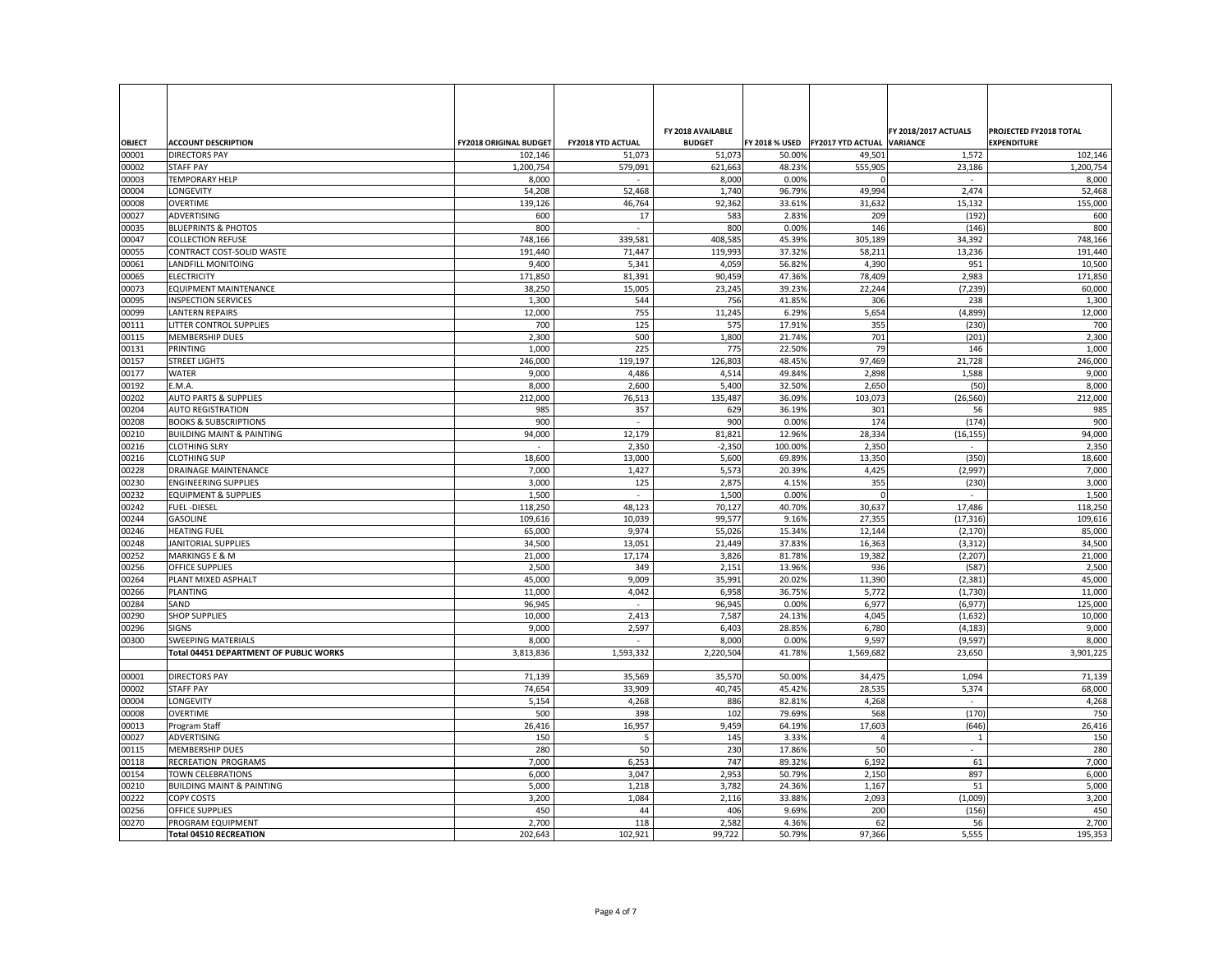| <b>OBJECT</b>  | <b>ACCOUNT DESCRIPTION</b>                          | <b>FY2018 ORIGINAL BUDGET</b> | <b>FY2018 YTD ACTUAL</b> | FY 2018 AVAILABLE<br><b>BUDGET</b> |                  | FY 2018 % USED   FY2017 YTD ACTUAL VARIANCE | <b>FY 2018/2017 ACTUALS</b> | <b>PROJECTED FY2018 TOTAL</b><br><b>EXPENDITURE</b> |
|----------------|-----------------------------------------------------|-------------------------------|--------------------------|------------------------------------|------------------|---------------------------------------------|-----------------------------|-----------------------------------------------------|
| 00001          | <b>DIRECTORS PAY</b>                                | 102,146                       | 51,073                   | 51,073                             | 50.00%           | 49,501                                      | 1,572                       | 102,146                                             |
| 00002          | <b>STAFF PAY</b>                                    | 1,200,754                     | 579,091                  | 621,663                            | 48.23%           | 555,905                                     | 23,186                      | 1,200,754                                           |
| 00003          | <b>TEMPORARY HELP</b>                               | 8,000                         | $\overline{\phantom{a}}$ | 8,000                              | 0.00%            |                                             | $\overline{\phantom{0}}$    | 8,000                                               |
| 00004          | <b>LONGEVITY</b>                                    | 54,208                        | 52,468                   | 1,740                              | 96.79%           | 49,994                                      | 2,474                       | 52,468                                              |
| 00008          | <b>OVERTIME</b>                                     | 139,126                       | 46,764                   | 92,362                             | 33.61%           | 31,632                                      | 15,132                      | 155,000                                             |
| 00027          | ADVERTISING                                         | 600                           | 17                       | 583                                | 2.83%            | 209                                         | (192)                       | 600                                                 |
| 00035          | <b>BLUEPRINTS &amp; PHOTOS</b>                      | 800                           | $\overline{\phantom{a}}$ | 800                                | 0.00%            | 146                                         | (146)                       | 800                                                 |
| 00047          | <b>COLLECTION REFUSE</b>                            | 748,166                       | 339,581                  | 408,585                            | 45.39%           | 305,189                                     | 34,392                      | 748,166                                             |
| 00055          | <b>CONTRACT COST-SOLID WASTE</b>                    | 191,440                       | 71,447<br>5,341          | 119,993                            | 37.32%<br>56.82% | 58,211                                      | 13,236<br>951               | 191,440                                             |
| 00061<br>00065 | LANDFILL MONITOING<br><b>ELECTRICITY</b>            | 9,400<br>171,850              | 81,391                   | 4,059<br>90,459                    | 47.36%           | 4,390<br>78,409                             | 2,983                       | 10,500<br>171,850                                   |
| 00073          | <b>EQUIPMENT MAINTENANCE</b>                        | 38,250                        | 15,005                   | 23,245                             | 39.23%           | 22,244                                      | (7, 239)                    | 60,000                                              |
| 00095          | <b>INSPECTION SERVICES</b>                          | 1,300                         | 544                      | 756                                | 41.85%           | 306                                         | 238                         | 1,300                                               |
| 00099          | <b>LANTERN REPAIRS</b>                              | 12,000                        | 755                      | 11,245                             | 6.29%            | 5,654                                       | (4,899)                     | 12,000                                              |
| 00111          | LITTER CONTROL SUPPLIES                             | 700                           | 125                      | 575                                | 17.91%           | 355                                         | (230)                       | 700                                                 |
| 00115          | MEMBERSHIP DUES                                     | 2,300                         | 500                      | 1,800                              | 21.74%           | 701                                         | (201)                       | 2,300                                               |
| 00131          | PRINTING                                            | 1,000                         | 225                      | 775                                | 22.50%           | 79                                          | 146                         | 1,000                                               |
| 00157          | <b>STREET LIGHTS</b>                                | 246,000                       | 119,197                  | 126,803                            | 48.45%           | 97,469                                      | 21,728                      | 246,000                                             |
| 00177          | <b>WATER</b>                                        | 9,000                         | 4,486                    | 4,514                              | 49.84%           | 2,898                                       | 1,588                       | 9,000                                               |
| 00192          | E.M.A.                                              | 8,000                         | 2,600                    | 5,400                              | 32.50%           | 2,650                                       | (50)                        | 8,000                                               |
| 00202          | <b>AUTO PARTS &amp; SUPPLIES</b>                    | 212,000                       | 76,513                   | 135,487                            | 36.09%           | 103,073                                     | (26, 560)                   | 212,000                                             |
| 00204          | <b>AUTO REGISTRATION</b>                            | 985                           | 357                      | 629                                | 36.19%           | 301                                         | 56                          | 985                                                 |
| 00208          | <b>BOOKS &amp; SUBSCRIPTIONS</b>                    | 900                           |                          | 900                                | 0.00%            | 174                                         | (174)                       | 900                                                 |
| 00210          | <b>BUILDING MAINT &amp; PAINTING</b>                | 94,000                        | 12,179                   | 81,821                             | 12.96%           | 28,334                                      | (16, 155)                   | 94,000                                              |
| 00216          | <b>CLOTHING SLRY</b>                                |                               | 2,350                    | $-2,350$                           | 100.00%          | 2,350                                       | $\overline{\phantom{a}}$    | 2,350                                               |
| 00216          | <b>CLOTHING SUP</b>                                 | 18,600                        | 13,000                   | 5,600                              | 69.89%           | 13,350                                      | (350)                       | 18,600                                              |
| 00228          | <b>DRAINAGE MAINTENANCE</b>                         | 7,000                         | 1,427                    | 5,573                              | 20.39%           | 4,425                                       | (2,997)                     | 7,000                                               |
| 00230          | <b>ENGINEERING SUPPLIES</b>                         | 3,000                         | 125                      | 2,875                              | 4.15%            | 355                                         | (230)                       | 3,000                                               |
| 00232          | <b>EQUIPMENT &amp; SUPPLIES</b>                     | 1,500                         |                          | 1,500                              | 0.00%            |                                             |                             | 1,500                                               |
| 00242          | <b>FUEL-DIESEL</b>                                  | 118,250                       | 48,123                   | 70,127                             | 40.70%           | 30,637                                      | 17,486                      | 118,250                                             |
| 00244          | GASOLINE                                            | 109,616                       | 10,039                   | 99,577                             | 9.16%            | 27,355                                      | (17, 316)                   | 109,616                                             |
| 00246          | <b>HEATING FUEL</b>                                 | 65,000                        | 9,974                    | 55,026                             | 15.34%           | 12,144                                      | (2, 170)                    | 85,000                                              |
| 00248          | <b>JANITORIAL SUPPLIES</b>                          | 34,500                        | 13,051                   | 21,449                             | 37.83%           | 16,363                                      | (3, 312)                    | 34,500                                              |
| 00252          | <b>MARKINGS E &amp; M</b><br><b>OFFICE SUPPLIES</b> | 21,000<br>2,500               | 17,174<br>349            | 3,826<br>2,151                     | 81.78%<br>13.96% | 19,382<br>936                               | (2, 207)<br>(587)           | 21,000<br>2,500                                     |
| 00256<br>00264 | PLANT MIXED ASPHALT                                 | 45,000                        | 9,009                    | 35,991                             | 20.02%           | 11,390                                      | (2, 381)                    | 45,000                                              |
| 00266          | <b>PLANTING</b>                                     | 11,000                        | 4,042                    | 6,958                              | 36.75%           | 5,772                                       | (1,730)                     | 11,000                                              |
| 00284          | SAND                                                | 96,945                        |                          | 96,945                             | 0.00%            | 6,977                                       | (6, 977)                    | 125,000                                             |
| 00290          | <b>SHOP SUPPLIES</b>                                | 10,000                        | 2,413                    | 7,587                              | 24.13%           | 4,045                                       | (1,632)                     | 10,000                                              |
| 00296          | <b>SIGNS</b>                                        | 9,000                         | 2,597                    | 6,403                              | 28.85%           | 6,780                                       | (4, 183)                    | 9,000                                               |
| 00300          | <b>SWEEPING MATERIALS</b>                           | 8,000                         |                          | 8,000                              | 0.00%            | 9,597                                       | (9, 597)                    | 8,000                                               |
|                | <b>Total 04451 DEPARTMENT OF PUBLIC WORKS</b>       | 3,813,836                     | 1,593,332                | 2,220,504                          | 41.78%           | 1,569,682                                   | 23,650                      | 3,901,225                                           |
|                |                                                     |                               |                          |                                    |                  |                                             |                             |                                                     |
| 00001          | <b>DIRECTORS PAY</b>                                | 71,139                        | 35,569                   | 35,570                             | 50.00%           | 34,475                                      | 1,094                       | 71,139                                              |
| 00002          | <b>STAFF PAY</b>                                    | 74,654                        | 33,909                   | 40,745                             | 45.42%           | 28,535                                      | 5,374                       | 68,000                                              |
| 00004          | <b>LONGEVITY</b>                                    | 5,154                         | 4,268                    | 886                                | 82.81%           | 4,268                                       | $\overline{\phantom{a}}$    | 4,268                                               |
| 00008          | <b>OVERTIME</b>                                     | 500                           | 398                      | 102                                | 79.69%           | 568                                         | (170)                       | 750                                                 |
| 00013          | Program Staff                                       | 26,416                        | 16,957                   | 9,459                              | 64.19%           | 17,603                                      | (646)                       | 26,416                                              |
| 00027          | ADVERTISING                                         | 150                           |                          | 145                                | 3.33%            |                                             |                             | 150                                                 |
| 00115          | <b>MEMBERSHIP DUES</b>                              | 280                           | 50                       | 230                                | 17.86%           | 50                                          | $\overline{\phantom{a}}$    | 280                                                 |
| 00118          | RECREATION PROGRAMS                                 | 7,000                         | 6,253                    | 747                                | 89.32%           | 6,192                                       | 61                          | 7,000                                               |
| 00154          | <b>TOWN CELEBRATIONS</b>                            | 6,000                         | 3,047                    | 2,953                              | 50.79%           | 2,150                                       | 897                         | 6,000                                               |
| 00210          | <b>BUILDING MAINT &amp; PAINTING</b>                | 5,000                         | 1,218                    | 3,782                              | 24.36%           | 1,167                                       | 51                          | 5,000                                               |
| 00222          | <b>COPY COSTS</b>                                   | 3,200                         | 1,084                    | 2,116                              | 33.88%           | 2,093                                       | (1,009)                     | 3,200                                               |
| 00256          | <b>OFFICE SUPPLIES</b>                              | 450                           | 44                       | 406                                | 9.69%            | 200                                         | (156)                       | 450                                                 |
| 00270          | PROGRAM EQUIPMENT                                   | 2,700                         | 118                      | 2,582                              | 4.36%            | 62                                          | 56                          | 2,700                                               |
|                | <b>Total 04510 RECREATION</b>                       | 202,643                       | 102,921                  | 99,722                             | 50.79%           | 97,366                                      | 5,555                       | 195,353                                             |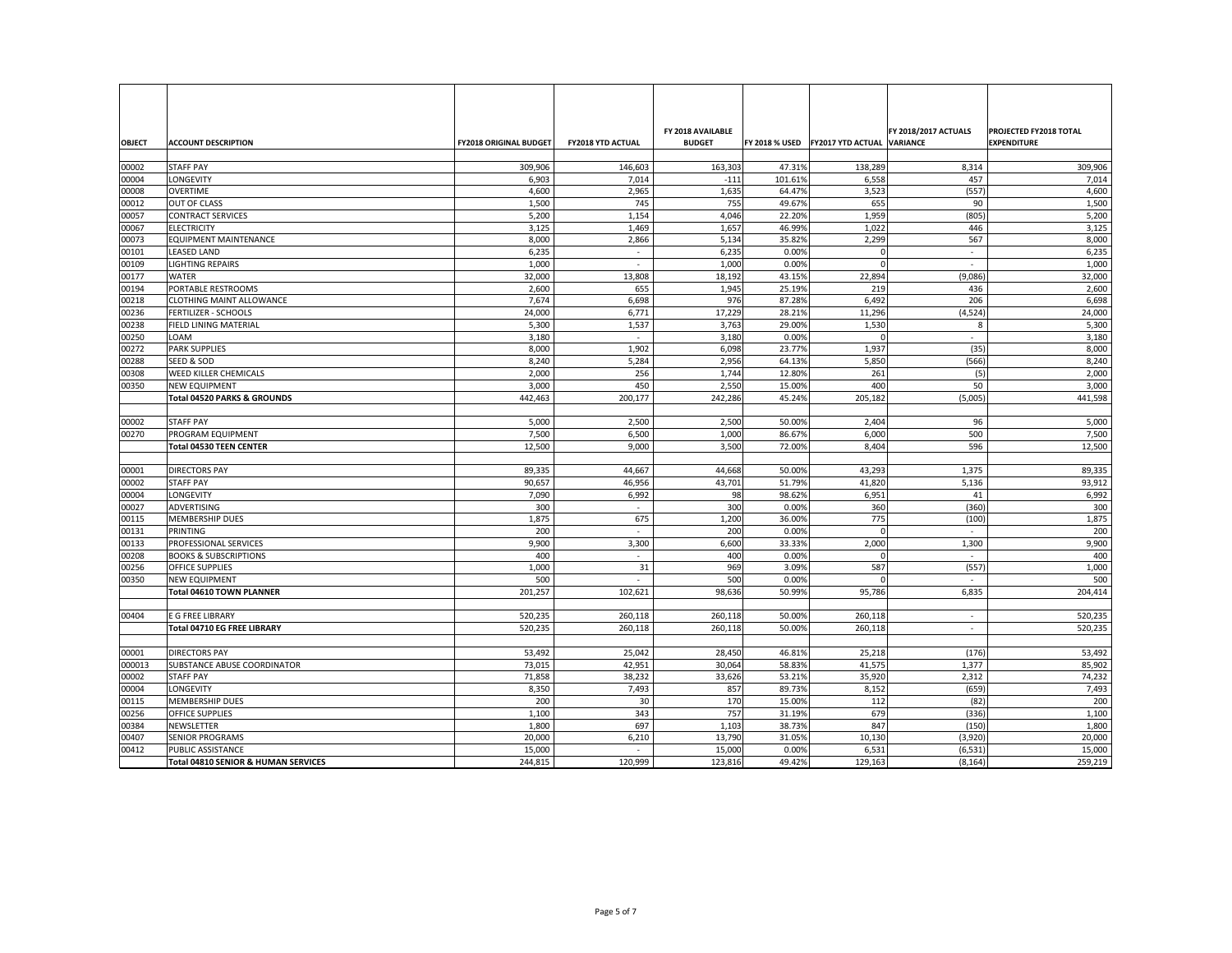|                |                                                 |                               |                          | FY 2018 AVAILABLE |                  |                                           | <b>FY 2018/2017 ACTUALS</b> | <b>PROJECTED FY2018 TOTAL</b> |
|----------------|-------------------------------------------------|-------------------------------|--------------------------|-------------------|------------------|-------------------------------------------|-----------------------------|-------------------------------|
| <b>OBJECT</b>  | <b>ACCOUNT DESCRIPTION</b>                      | <b>FY2018 ORIGINAL BUDGET</b> | <b>FY2018 YTD ACTUAL</b> | <b>BUDGET</b>     |                  | FY 2018 % USED FY2017 YTD ACTUAL VARIANCE |                             | <b>EXPENDITURE</b>            |
|                |                                                 |                               |                          |                   |                  |                                           |                             |                               |
| 00002          | <b>STAFF PAY</b>                                | 309,906                       | 146,603                  | 163,303           | 47.31%           | 138,289                                   | 8,314                       | 309,906                       |
| 00004          | <b>LONGEVITY</b>                                | 6,903                         | 7,014                    | $-111$            | 101.61%          | 6,558                                     | 457                         | 7,014                         |
| 00008          | <b>OVERTIME</b>                                 | 4,600                         | 2,965<br>745             | 1,635<br>755      | 64.47%<br>49.67% | 3,523                                     | (557)                       | 4,600                         |
| 00012<br>00057 | <b>OUT OF CLASS</b><br><b>CONTRACT SERVICES</b> | 1,500<br>5,200                | 1,154                    | 4,046             | 22.20%           | 655<br>1,959                              | 90<br>(805)                 | 1,500<br>5,200                |
| 00067          | <b>ELECTRICITY</b>                              | 3,125                         | 1,469                    | 1,657             | 46.99%           | 1,022                                     | 446                         | 3,125                         |
| 00073          | <b>EQUIPMENT MAINTENANCE</b>                    | 8,000                         | 2,866                    | 5,134             | 35.82%           | 2,299                                     | 567                         | 8,000                         |
| 00101          | <b>LEASED LAND</b>                              | 6,235                         | $\overline{\phantom{a}}$ | 6,235             | 0.00%            |                                           | $\overline{\phantom{a}}$    | 6,235                         |
| 00109          | <b>LIGHTING REPAIRS</b>                         | 1,000                         | $\overline{\phantom{a}}$ | 1,000             | 0.00%            |                                           | $\overline{\phantom{a}}$    | 1,000                         |
| 00177          | <b>WATER</b>                                    | 32,000                        | 13,808                   | 18,192            | 43.15%           | 22,894                                    | (9,086)                     | 32,000                        |
| 00194          | PORTABLE RESTROOMS                              | 2,600                         | 655                      | 1,945             | 25.19%           | 219                                       | 436                         | 2,600                         |
| 00218          | <b>CLOTHING MAINT ALLOWANCE</b>                 | 7,674                         | 6,698                    | 976               | 87.28%           | 6,492                                     | 206                         | 6,698                         |
| 00236          | <b>FERTILIZER - SCHOOLS</b>                     | 24,000                        | 6,771                    | 17,229            | 28.21%           | 11,296                                    | (4, 524)                    | 24,000                        |
| 00238          | <b>FIELD LINING MATERIAL</b>                    | 5,300                         | 1,537                    | 3,763             | 29.00%           | 1,530                                     | 8                           | 5,300                         |
| 00250          | <b>LOAM</b>                                     | 3,180                         |                          | 3,180             | 0.00%            |                                           |                             | 3,180                         |
| 00272          | <b>PARK SUPPLIES</b>                            | 8,000                         | 1,902                    | 6,098             | 23.77%           | 1,937                                     | (35)                        | 8,000                         |
| 00288          | <b>SEED &amp; SOD</b>                           | 8,240                         | 5,284                    | 2,956             | 64.13%           | 5,850                                     | (566)                       | 8,240                         |
| 00308          | <b>WEED KILLER CHEMICALS</b>                    | 2,000                         | 256                      | 1,744             | 12.80%           | 261                                       | (5)                         | 2,000                         |
| 00350          | <b>NEW EQUIPMENT</b>                            | 3,000                         | 450                      | 2,550             | 15.00%           | 400                                       | 50                          | 3,000                         |
|                | <b>Total 04520 PARKS &amp; GROUNDS</b>          | 442,463                       | 200,177                  | 242,286           | 45.24%           | 205,182                                   | (5,005)                     | 441,598                       |
|                |                                                 |                               |                          |                   |                  |                                           |                             |                               |
| 00002          | <b>STAFF PAY</b>                                | 5,000                         | 2,500                    | 2,500             | 50.00%           | 2,404                                     | 96                          | 5,000                         |
| 00270          | <b>PROGRAM EQUIPMENT</b>                        | 7,500                         | 6,500                    | 1,000             | 86.67%           | 6,000                                     | 500                         | 7,500                         |
|                | <b>Total 04530 TEEN CENTER</b>                  | 12,500                        | 9,000                    | 3,500             | 72.00%           | 8,404                                     | 596                         | 12,500                        |
|                |                                                 |                               |                          |                   |                  |                                           |                             |                               |
| 00001          | <b>DIRECTORS PAY</b>                            | 89,335                        | 44,667                   | 44,668            | 50.00%           | 43,293                                    | 1,375                       | 89,335                        |
| 00002          | <b>STAFF PAY</b>                                | 90,657                        | 46,956                   | 43,701            | 51.79%           | 41,820                                    | 5,136                       | 93,912                        |
| 00004          | <b>LONGEVITY</b>                                | 7,090                         | 6,992                    | 98                | 98.62%           | 6,951                                     | 41                          | 6,992                         |
| 00027          | ADVERTISING                                     | 300                           |                          | 300               | 0.00%            | 360                                       | (360)                       | 300                           |
| 00115          | MEMBERSHIP DUES                                 | 1,875                         | 675                      | 1,200             | 36.00%           | 775                                       | (100)                       | 1,875                         |
| 00131          | PRINTING<br><b>PROFESSIONAL SERVICES</b>        | 200<br>9,900                  | $\overline{\phantom{a}}$ | 200<br>6,600      | 0.00%<br>33.33%  |                                           | $\overline{a}$              | 200                           |
| 00133<br>00208 | <b>BOOKS &amp; SUBSCRIPTIONS</b>                | 400                           | 3,300                    | 400               | 0.00%            | 2,000                                     | 1,300                       | 9,900<br>400                  |
| 00256          | <b>OFFICE SUPPLIES</b>                          | 1,000                         | 31                       | 969               | 3.09%            | 587                                       | (557)                       | 1,000                         |
| 00350          | <b>NEW EQUIPMENT</b>                            | 500                           |                          | 500               | 0.00%            |                                           |                             | 500                           |
|                | <b>Total 04610 TOWN PLANNER</b>                 | 201,257                       | 102,621                  | 98,636            | 50.99%           | 95,786                                    | 6,835                       | 204,414                       |
|                |                                                 |                               |                          |                   |                  |                                           |                             |                               |
| 00404          | E G FREE LIBRARY                                | 520,235                       | 260,118                  | 260,118           | 50.00%           | 260,118                                   | $\overline{\phantom{a}}$    | 520,235                       |
|                | <b>Total 04710 EG FREE LIBRARY</b>              | 520,235                       | 260,118                  | 260,118           | 50.00%           | 260,118                                   | $\overline{\phantom{a}}$    | 520,235                       |
|                |                                                 |                               |                          |                   |                  |                                           |                             |                               |
| 00001          | <b>DIRECTORS PAY</b>                            | 53,492                        | 25,042                   | 28,450            | 46.81%           | 25,218                                    | (176)                       | 53,492                        |
| 000013         | <b>SUBSTANCE ABUSE COORDINATOR</b>              | 73,015                        | 42,951                   | 30,064            | 58.83%           | 41,575                                    | 1,377                       | 85,902                        |
| 00002          | <b>STAFF PAY</b>                                | 71,858                        | 38,232                   | 33,626            | 53.21%           | 35,920                                    | 2,312                       | 74,232                        |
| 00004          | <b>LONGEVITY</b>                                | 8,350                         | 7,493                    | 857               | 89.73%           | 8,152                                     | (659)                       | 7,493                         |
| 00115          | <b>MEMBERSHIP DUES</b>                          | 200                           | 30                       | 170               | 15.00%           | 112                                       | (82)                        | 200                           |
| 00256          | <b>OFFICE SUPPLIES</b>                          | 1,100                         | 343                      | 757               | 31.19%           | 679                                       | (336)                       | 1,100                         |
| 00384          | NEWSLETTER                                      | 1,800                         | 697                      | 1,103             | 38.73%           | 847                                       | (150)                       | 1,800                         |
| 00407          | <b>SENIOR PROGRAMS</b>                          | 20,000                        | 6,210                    | 13,790            | 31.05%           | 10,130                                    | (3,920)                     | 20,000                        |
| 00412          | <b>PUBLIC ASSISTANCE</b>                        | 15,000                        |                          | 15,000            | 0.00%            | 6,531                                     | (6, 531)                    | 15,000                        |
|                | Total 04810 SENIOR & HUMAN SERVICES             | 244,815                       | 120,999                  | 123,816           | 49.42%           | 129,163                                   | (8, 164)                    | 259,219                       |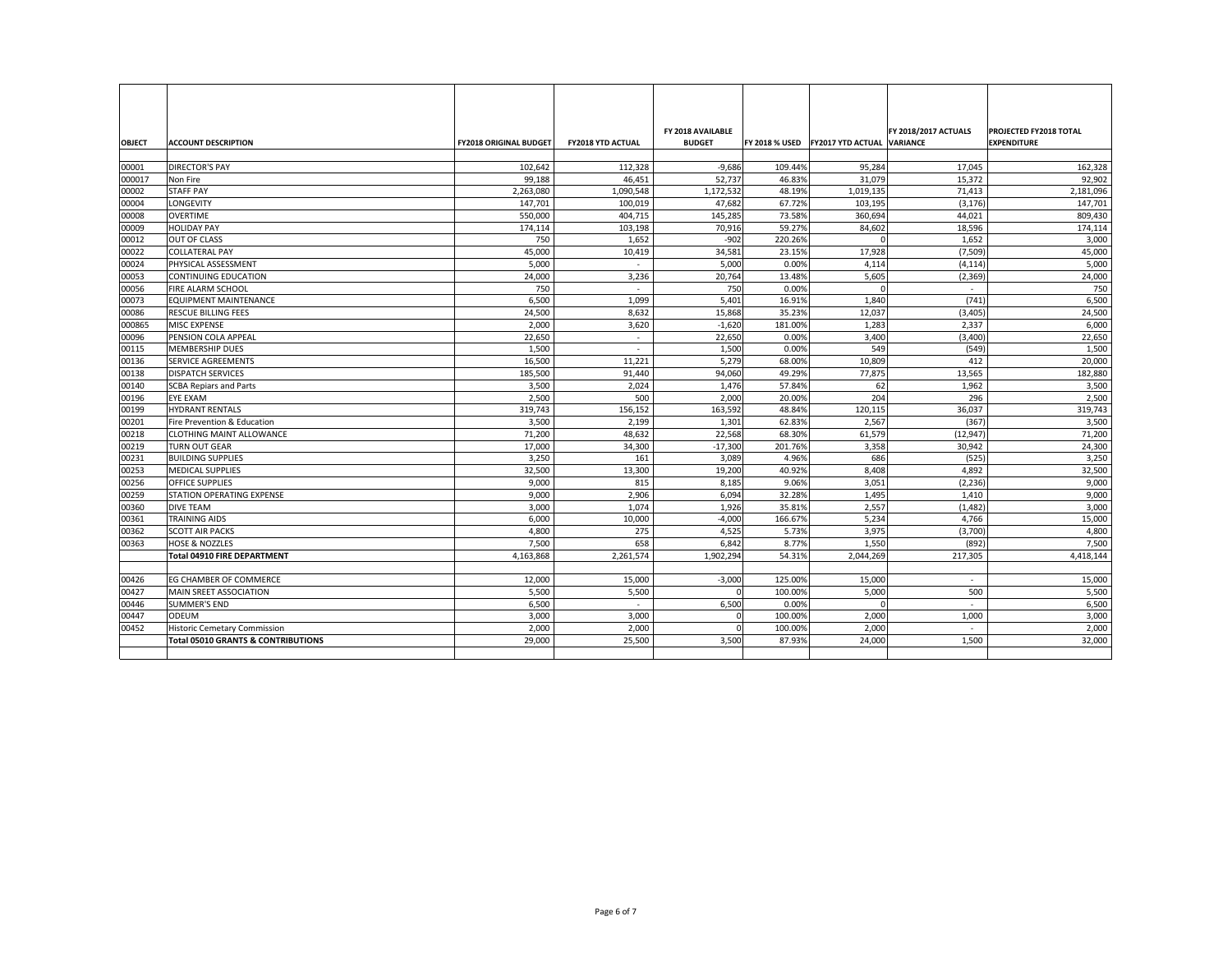|                |                                                  |                               |                          | FY 2018 AVAILABLE  |                  |                                           | <b>FY 2018/2017 ACTUALS</b> | <b>PROJECTED FY2018 TOTAL</b> |
|----------------|--------------------------------------------------|-------------------------------|--------------------------|--------------------|------------------|-------------------------------------------|-----------------------------|-------------------------------|
| <b>OBJECT</b>  | <b>ACCOUNT DESCRIPTION</b>                       | <b>FY2018 ORIGINAL BUDGET</b> | <b>FY2018 YTD ACTUAL</b> | <b>BUDGET</b>      |                  | FY 2018 % USED FY2017 YTD ACTUAL VARIANCE |                             | <b>EXPENDITURE</b>            |
| 00001          | <b>DIRECTOR'S PAY</b>                            | 102,642                       | 112,328                  | $-9,686$           | 109.44%          | 95,284                                    | 17,045                      | 162,328                       |
| 000017         | Non Fire                                         | 99,188                        | 46,451                   | 52,737             | 46.83%           | 31,079                                    | 15,372                      | 92,902                        |
| 00002          | <b>STAFF PAY</b>                                 | 2,263,080                     | 1,090,548                | 1,172,532          | 48.19%           | 1,019,135                                 | 71,413                      | 2,181,096                     |
| 00004          | <b>LONGEVITY</b>                                 | 147,701                       | 100,019                  | 47,682             | 67.72%           | 103,195                                   | (3, 176)                    | 147,701                       |
| 00008          | <b>OVERTIME</b>                                  | 550,000                       | 404,715                  | 145,285            | 73.58%           | 360,694                                   | 44,021                      | 809,430                       |
| 00009          | <b>HOLIDAY PAY</b>                               | 174,114                       | 103,198                  | 70,916             | 59.27%           | 84,602                                    | 18,596                      | 174,114                       |
| 00012          | OUT OF CLASS                                     | 750                           | 1,652                    | $-902$             | 220.26%          |                                           | 1,652                       | 3,000                         |
| 00022          | <b>COLLATERAL PAY</b>                            | 45,000                        | 10,419                   | 34,581             | 23.15%           | 17,928                                    | (7,509)                     | 45,000                        |
| 00024          | PHYSICAL ASSESSMENT                              | 5,000                         | $\overline{\phantom{a}}$ | 5,000              | 0.00%            | 4,114                                     | (4, 114)                    | 5,000                         |
| 00053          | <b>CONTINUING EDUCATION</b>                      | 24,000                        | 3,236                    | 20,764             | 13.48%           | 5,605                                     | (2, 369)                    | 24,000                        |
| 00056          | FIRE ALARM SCHOOL                                | 750                           |                          | 750                | 0.00%            |                                           | $\overline{\phantom{0}}$    | 750                           |
| 00073          | <b>EQUIPMENT MAINTENANCE</b>                     | 6,500                         | 1,099                    | 5,401              | 16.91%           | 1,840                                     | (741)                       | 6,500                         |
| 00086          | <b>RESCUE BILLING FEES</b>                       | 24,500                        | 8,632                    | 15,868             | 35.23%           | 12,037                                    | (3,405)                     | 24,500                        |
| 000865         | MISC EXPENSE                                     | 2,000                         | 3,620                    | $-1,620$           | 181.00%          | 1,283                                     | 2,337                       | 6,000                         |
| 00096          | PENSION COLA APPEAL                              | 22,650                        | $\overline{\phantom{a}}$ | 22,650             | 0.00%            | 3,400                                     | (3,400)                     | 22,650                        |
| 00115          | <b>MEMBERSHIP DUES</b>                           | 1,500                         | $\overline{\phantom{a}}$ | 1,500              | 0.00%            | 549                                       | (549)                       | 1,500                         |
| 00136          | <b>SERVICE AGREEMENTS</b>                        | 16,500                        | 11,221                   | 5,279              | 68.00%           | 10,809                                    | 412                         | 20,000                        |
| 00138          | <b>DISPATCH SERVICES</b>                         | 185,500                       | 91,440                   | 94,060             | 49.29%           | 77,875                                    | 13,565                      | 182,880                       |
| 00140          | <b>SCBA Repiars and Parts</b>                    | 3,500                         | 2,024                    | 1,476              | 57.84%           | 62                                        | 1,962                       | 3,500                         |
| 00196          | EYE EXAM                                         | 2,500                         | 500                      | 2,000              | 20.00%           | 204                                       | 296                         | 2,500                         |
| 00199          | <b>HYDRANT RENTALS</b>                           | 319,743                       | 156,152                  | 163,592            | 48.84%           | 120,115                                   | 36,037                      | 319,743                       |
| 00201          | Fire Prevention & Education                      | 3,500                         | 2,199                    | 1,301              | 62.83%           | 2,567                                     | (367)                       | 3,500                         |
| 00218          | <b>CLOTHING MAINT ALLOWANCE</b>                  | 71,200                        | 48,632                   | 22,568             | 68.30%           | 61,579                                    | (12, 947)                   | 71,200                        |
| 00219          | <b>TURN OUT GEAR</b><br><b>BUILDING SUPPLIES</b> | 17,000                        | 34,300<br>161            | $-17,300$<br>3,089 | 201.76%<br>4.96% | 3,358<br>686                              | 30,942                      | 24,300                        |
| 00231<br>00253 | <b>MEDICAL SUPPLIES</b>                          | 3,250<br>32,500               | 13,300                   | 19,200             | 40.92%           | 8,408                                     | (525)<br>4,892              | 3,250<br>32,500               |
| 00256          | <b>OFFICE SUPPLIES</b>                           | 9,000                         | 815                      | 8,185              | 9.06%            | 3,051                                     | (2, 236)                    | 9,000                         |
| 00259          | STATION OPERATING EXPENSE                        | 9,000                         | 2,906                    | 6,094              | 32.28%           | 1,495                                     | 1,410                       | 9,000                         |
| 00360          | <b>DIVE TEAM</b>                                 | 3,000                         | 1,074                    | 1,926              | 35.81%           | 2,557                                     | (1, 482)                    | 3,000                         |
| 00361          | <b>TRAINING AIDS</b>                             | 6,000                         | 10,000                   | $-4,000$           | 166.67%          | 5,234                                     | 4,766                       | 15,000                        |
| 00362          | <b>SCOTT AIR PACKS</b>                           | 4,800                         | 275                      | 4,525              | 5.73%            | 3,975                                     | (3,700)                     | 4,800                         |
| 00363          | <b>HOSE &amp; NOZZLES</b>                        | 7,500                         | 658                      | 6,842              | 8.77%            | 1,550                                     | (892)                       | 7,500                         |
|                | <b>Total 04910 FIRE DEPARTMENT</b>               | 4,163,868                     | 2,261,574                | 1,902,294          | 54.31%           | 2,044,269                                 | 217,305                     | 4,418,144                     |
|                |                                                  |                               |                          |                    |                  |                                           |                             |                               |
| 00426          | <b>EG CHAMBER OF COMMERCE</b>                    | 12,000                        | 15,000                   | $-3,000$           | 125.00%          | 15,000                                    | $\overline{\phantom{a}}$    | 15,000                        |
| 00427          | MAIN SREET ASSOCIATION                           | 5,500                         | 5,500                    |                    | 100.00%          | 5,000                                     | 500                         | 5,500                         |
| 00446          | SUMMER'S END                                     | 6,500                         | $\overline{\phantom{a}}$ | 6,500              | 0.00%            |                                           | $\overline{\phantom{a}}$    | 6,500                         |
| 00447          | ODEUM                                            | 3,000                         | 3,000                    |                    | 100.00%          | 2,000                                     | 1,000                       | 3,000                         |
| 00452          | <b>Historic Cemetary Commission</b>              | 2,000                         | 2,000                    |                    | 100.00%          | 2,000                                     |                             | 2,000                         |
|                | <b>Total 05010 GRANTS &amp; CONTRIBUTIONS</b>    | 29,000                        | 25,500                   | 3,500              | 87.93%           | 24,000                                    | 1,500                       | 32,000                        |
|                |                                                  |                               |                          |                    |                  |                                           |                             |                               |